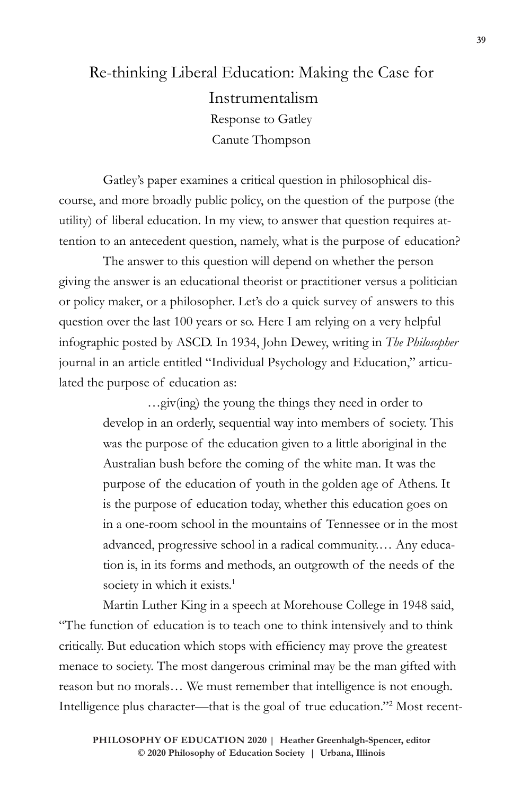## Re-thinking Liberal Education: Making the Case for Instrumentalism Response to Gatley Canute Thompson

Gatley's paper examines a critical question in philosophical discourse, and more broadly public policy, on the question of the purpose (the utility) of liberal education. In my view, to answer that question requires attention to an antecedent question, namely, what is the purpose of education?

The answer to this question will depend on whether the person giving the answer is an educational theorist or practitioner versus a politician or policy maker, or a philosopher. Let's do a quick survey of answers to this question over the last 100 years or so. Here I am relying on a very helpful infographic posted by ASCD. In 1934, John Dewey, writing in *The Philosopher*  journal in an article entitled "Individual Psychology and Education," articulated the purpose of education as:

> …giv(ing) the young the things they need in order to develop in an orderly, sequential way into members of society. This was the purpose of the education given to a little aboriginal in the Australian bush before the coming of the white man. It was the purpose of the education of youth in the golden age of Athens. It is the purpose of education today, whether this education goes on in a one-room school in the mountains of Tennessee or in the most advanced, progressive school in a radical community.… Any education is, in its forms and methods, an outgrowth of the needs of the society in which it exists.<sup>1</sup>

Martin Luther King in a speech at Morehouse College in 1948 said, "The function of education is to teach one to think intensively and to think critically. But education which stops with efficiency may prove the greatest menace to society. The most dangerous criminal may be the man gifted with reason but no morals… We must remember that intelligence is not enough. Intelligence plus character—that is the goal of true education."2 Most recent-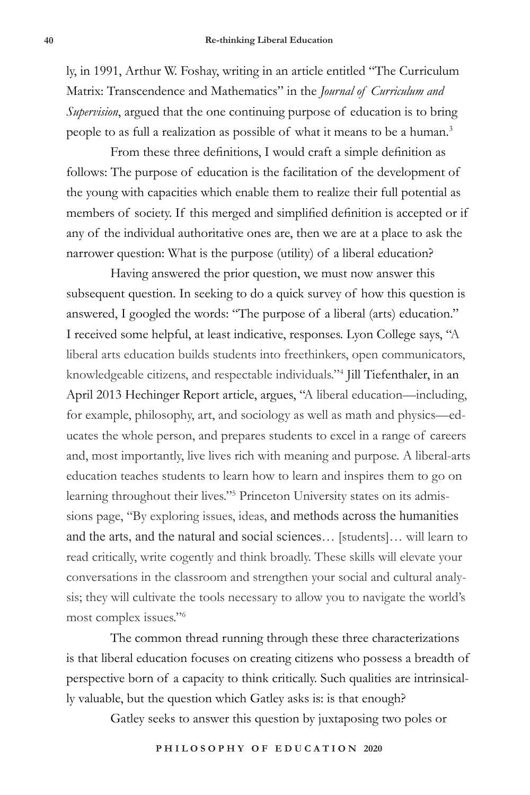ly, in 1991, Arthur W. Foshay, writing in an article entitled "The Curriculum Matrix: Transcendence and Mathematics" in the *Journal of Curriculum and Supervision*, argued that the one continuing purpose of education is to bring people to as full a realization as possible of what it means to be a human.3

From these three definitions, I would craft a simple definition as follows: The purpose of education is the facilitation of the development of the young with capacities which enable them to realize their full potential as members of society. If this merged and simplified definition is accepted or if any of the individual authoritative ones are, then we are at a place to ask the narrower question: What is the purpose (utility) of a liberal education?

Having answered the prior question, we must now answer this subsequent question. In seeking to do a quick survey of how this question is answered, I googled the words: "The purpose of a liberal (arts) education." I received some helpful, at least indicative, responses. Lyon College says, "A liberal arts education builds students into freethinkers, open communicators, knowledgeable citizens, and respectable individuals."4 Jill Tiefenthaler, in an April 2013 Hechinger Report article, argues, "A liberal education—including, for example, philosophy, art, and sociology as well as math and physics—educates the whole person, and prepares students to excel in a range of careers and, most importantly, live lives rich with meaning and purpose. A liberal-arts education teaches students to learn how to learn and inspires them to go on learning throughout their lives."<sup>5</sup> Princeton University states on its admissions page, "By exploring issues, ideas, and methods across the humanities and the arts, and the natural and social sciences… [students]… will learn to read critically, write cogently and think broadly. These skills will elevate your conversations in the classroom and strengthen your social and cultural analysis; they will cultivate the tools necessary to allow you to navigate the world's most complex issues."6

The common thread running through these three characterizations is that liberal education focuses on creating citizens who possess a breadth of perspective born of a capacity to think critically. Such qualities are intrinsically valuable, but the question which Gatley asks is: is that enough?

Gatley seeks to answer this question by juxtaposing two poles or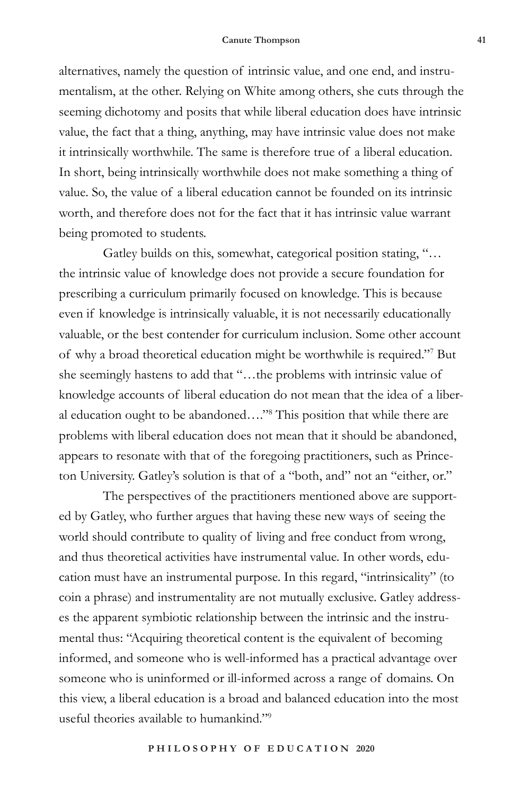alternatives, namely the question of intrinsic value, and one end, and instrumentalism, at the other. Relying on White among others, she cuts through the seeming dichotomy and posits that while liberal education does have intrinsic value, the fact that a thing, anything, may have intrinsic value does not make it intrinsically worthwhile. The same is therefore true of a liberal education. In short, being intrinsically worthwhile does not make something a thing of value. So, the value of a liberal education cannot be founded on its intrinsic worth, and therefore does not for the fact that it has intrinsic value warrant being promoted to students.

Gatley builds on this, somewhat, categorical position stating, "… the intrinsic value of knowledge does not provide a secure foundation for prescribing a curriculum primarily focused on knowledge. This is because even if knowledge is intrinsically valuable, it is not necessarily educationally valuable, or the best contender for curriculum inclusion. Some other account of why a broad theoretical education might be worthwhile is required."7 But she seemingly hastens to add that "…the problems with intrinsic value of knowledge accounts of liberal education do not mean that the idea of a liberal education ought to be abandoned…."8 This position that while there are problems with liberal education does not mean that it should be abandoned, appears to resonate with that of the foregoing practitioners, such as Princeton University. Gatley's solution is that of a "both, and" not an "either, or."

The perspectives of the practitioners mentioned above are supported by Gatley, who further argues that having these new ways of seeing the world should contribute to quality of living and free conduct from wrong, and thus theoretical activities have instrumental value. In other words, education must have an instrumental purpose. In this regard, "intrinsicality" (to coin a phrase) and instrumentality are not mutually exclusive. Gatley addresses the apparent symbiotic relationship between the intrinsic and the instrumental thus: "Acquiring theoretical content is the equivalent of becoming informed, and someone who is well-informed has a practical advantage over someone who is uninformed or ill-informed across a range of domains. On this view, a liberal education is a broad and balanced education into the most useful theories available to humankind."9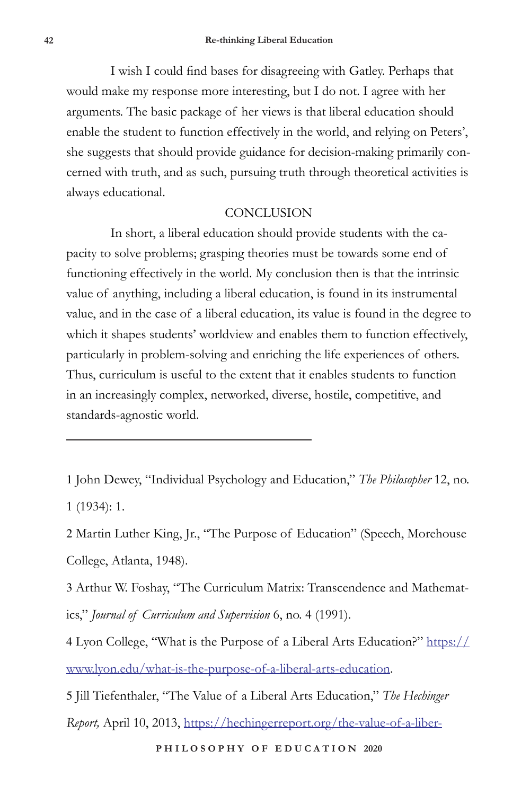I wish I could find bases for disagreeing with Gatley. Perhaps that would make my response more interesting, but I do not. I agree with her arguments. The basic package of her views is that liberal education should enable the student to function effectively in the world, and relying on Peters', she suggests that should provide guidance for decision-making primarily concerned with truth, and as such, pursuing truth through theoretical activities is always educational.

## **CONCLUSION**

In short, a liberal education should provide students with the capacity to solve problems; grasping theories must be towards some end of functioning effectively in the world. My conclusion then is that the intrinsic value of anything, including a liberal education, is found in its instrumental value, and in the case of a liberal education, its value is found in the degree to which it shapes students' worldview and enables them to function effectively, particularly in problem-solving and enriching the life experiences of others. Thus, curriculum is useful to the extent that it enables students to function in an increasingly complex, networked, diverse, hostile, competitive, and standards-agnostic world.

1 John Dewey, "Individual Psychology and Education," *The Philosopher* 12, no. 1 (1934): 1.

2 Martin Luther King, Jr., "The Purpose of Education" (Speech, Morehouse College, Atlanta, 1948).

3 Arthur W. Foshay, "The Curriculum Matrix: Transcendence and Mathematics," *Journal of Curriculum and Supervision* 6, no. 4 (1991).

4 Lyon College, "What is the Purpose of a Liberal Arts Education?" https:// www.lyon.edu/what-is-the-purpose-of-a-liberal-arts-education.

5 Jill Tiefenthaler, "The Value of a Liberal Arts Education," *The Hechinger* 

*Report,* April 10, 2013, https://hechingerreport.org/the-value-of-a-liber-